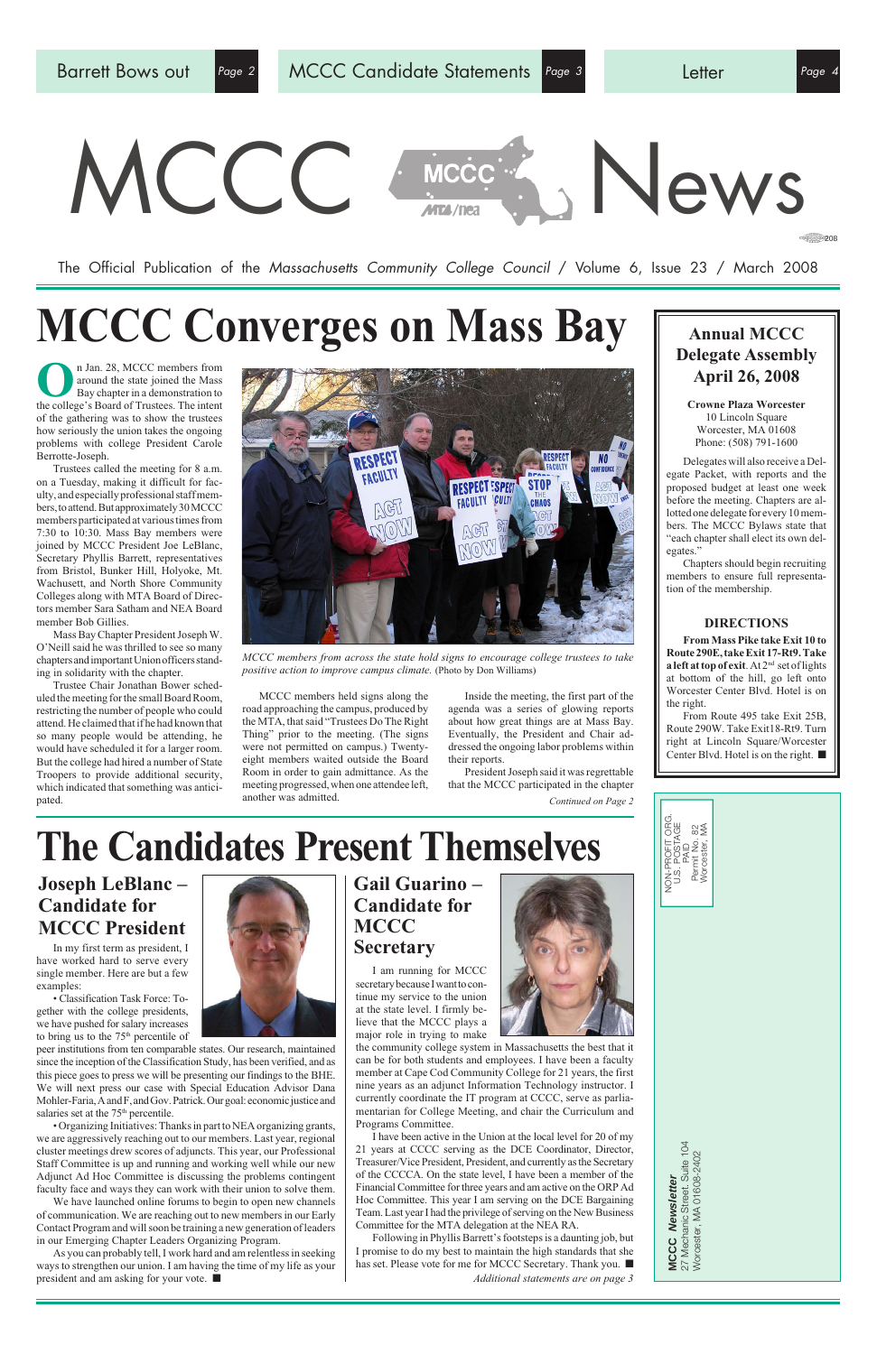

**MCCC Newsletter** 27 Mechanic Street. Suite 104 Worcester, MA 01608-2402

MCCC Newsletter<br>27 Mechanic Street. Suite 104<br>Worcester, MA 01608-2402

The Official Publication of the Massachusetts Community College Council / Volume 6, Issue 23 / March 2008

#### **Annual MCCC Delegate Assembly April 26, 2008**

**Crowne Plaza Worcester** 10 Lincoln Square Worcester, MA 01608 Phone: (508) 791-1600

Delegates will also receive a Delegate Packet, with reports and the proposed budget at least one week before the meeting. Chapters are allotted one delegate for every 10 members. The MCCC Bylaws state that "each chapter shall elect its own delegates."

**O**n Jan. 28, MCCC members from<br>around the state joined the Mass<br>Bay chapter in a demonstration to<br>the college's Board of Trustees. The intent around the state joined the Mass Bay chapter in a demonstration to the college's Board of Trustees. The intent of the gathering was to show the trustees how seriously the union takes the ongoing problems with college President Carole Berrotte-Joseph.

> Chapters should begin recruiting members to ensure full representation of the membership.

#### **DIRECTIONS**

**From Mass Pike take Exit 10 to Route 290E, take Exit 17-Rt9. Take a left at top of exit**. At 2nd set of lights at bottom of the hill, go left onto Worcester Center Blvd. Hotel is on the right.

From Route 495 take Exit 25B, Route 290W. Take Exit18-Rt9. Turn right at Lincoln Square/Worcester Center Blvd. Hotel is on the right. ■

Trustees called the meeting for 8 a.m. on a Tuesday, making it difficult for faculty, and especially professional staff members, to attend. But approximately 30 MCCC members participated at various times from 7:30 to 10:30. Mass Bay members were joined by MCCC President Joe LeBlanc, Secretary Phyllis Barrett, representatives from Bristol, Bunker Hill, Holyoke, Mt. Wachusett, and North Shore Community Colleges along with MTA Board of Directors member Sara Satham and NEA Board member Bob Gillies.

• Classification Task Force: Together with the college presidents, we have pushed for salary increases to bring us to the 75<sup>th</sup> percentile of

*Continued on Page 2* President Joseph said it was regrettable that the MCCC participated in the chapter

peer institutions from ten comparable states. Our research, maintained since the inception of the Classification Study, has been verified, and as this piece goes to press we will be presenting our findings to the BHE. We will next press our case with Special Education Advisor Dana Mohler-Faria, A and F, and Gov. Patrick. Our goal: economic justice and salaries set at the 75<sup>th</sup> percentile.

Mass Bay Chapter President Joseph W. O'Neill said he was thrilled to see so many chapters and important Union officers standing in solidarity with the chapter.

Trustee Chair Jonathan Bower scheduled the meeting for the small Board Room, restricting the number of people who could attend. He claimed that if he had known that so many people would be attending, he would have scheduled it for a larger room. But the college had hired a number of State Troopers to provide additional security, which indicated that something was anticipated.

MCCC members held signs along the road approaching the campus, produced by the MTA, that said "Trustees Do The Right Thing" prior to the meeting. (The signs were not permitted on campus.) Twentyeight members waited outside the Board Room in order to gain admittance. As the meeting progressed, when one attendee left, another was admitted.

Inside the meeting, the first part of the agenda was a series of glowing reports about how great things are at Mass Bay. Eventually, the President and Chair addressed the ongoing labor problems within their reports.



*MCCC members from across the state hold signs to encourage college trustees to take positive action to improve campus climate.* (Photo by Don Williams)

# **MCCC Converges on Mass Bay**

In my first term as president, I have worked hard to serve every single member. Here are but a few examples:



• Organizing Initiatives: Thanks in part to NEA organizing grants, we are aggressively reaching out to our members. Last year, regional cluster meetings drew scores of adjuncts. This year, our Professional Staff Committee is up and running and working well while our new Adjunct Ad Hoc Committee is discussing the problems contingent faculty face and ways they can work with their union to solve them.

We have launched online forums to begin to open new channels of communication. We are reaching out to new members in our Early Contact Program and will soon be training a new generation of leaders in our Emerging Chapter Leaders Organizing Program.

As you can probably tell, I work hard and am relentless in seeking ways to strengthen our union. I am having the time of my life as your president and am asking for your vote. ■

#### **Joseph LeBlanc – Candidate for MCCC President**

#### **Gail Guarino – Candidate for MCCC Secretary**

I am running for MCCC secretary because I want to continue my service to the union at the state level. I firmly believe that the MCCC plays a major role in trying to make





I have been active in the Union at the local level for 20 of my 21 years at CCCC serving as the DCE Coordinator, Director, Treasurer/Vice President, President, and currently as the Secretary of the CCCCA. On the state level, I have been a member of the Financial Committee for three years and am active on the ORP Ad Hoc Committee. This year I am serving on the DCE Bargaining Team. Last year I had the privilege of serving on the New Business Committee for the MTA delegation at the NEA RA.

Following in Phyllis Barrett's footsteps is a daunting job, but I promise to do my best to maintain the high standards that she has set. Please vote for me for MCCC Secretary. Thank you. ■

*Additional statements are on page 3*

## **The Candidates Present Themselves**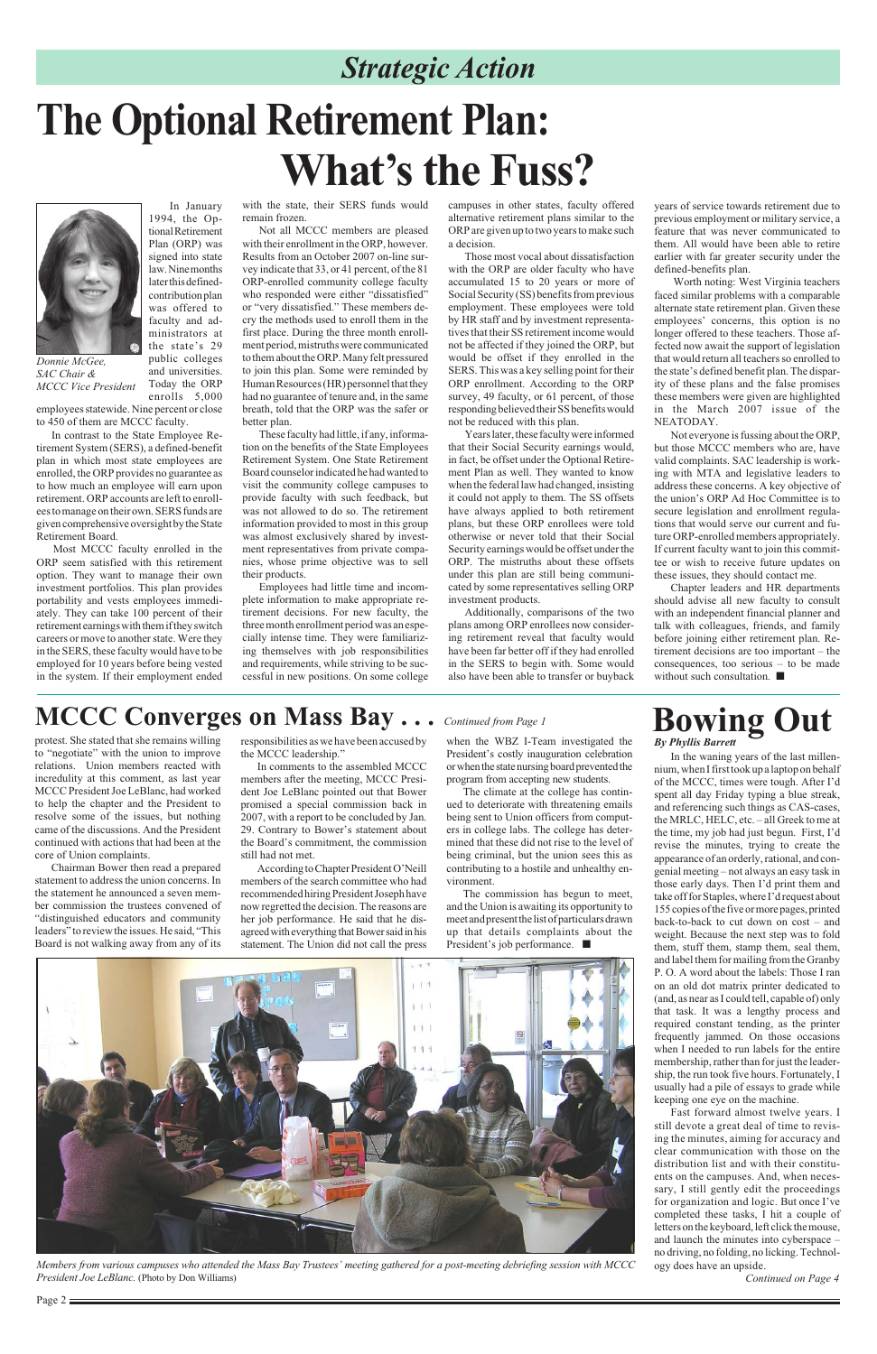years of service towards retirement due to previous employment or military service, a feature that was never communicated to them. All would have been able to retire earlier with far greater security under the defined-benefits plan.

 Worth noting: West Virginia teachers faced similar problems with a comparable alternate state retirement plan. Given these employees' concerns, this option is no longer offered to these teachers. Those affected now await the support of legislation that would return all teachers so enrolled to the state's defined benefit plan. The disparity of these plans and the false promises these members were given are highlighted in the March 2007 issue of the NEATODAY.

public colleges and universities. Today the ORP enrolls 5,000

> Not everyone is fussing about the ORP, but those MCCC members who are, have valid complaints. SAC leadership is working with MTA and legislative leaders to address these concerns. A key objective of the union's ORP Ad Hoc Committee is to secure legislation and enrollment regulations that would serve our current and future ORP-enrolled members appropriately. If current faculty want to join this committee or wish to receive future updates on these issues, they should contact me.

> Chapter leaders and HR departments should advise all new faculty to consult with an independent financial planner and talk with colleagues, friends, and family before joining either retirement plan. Retirement decisions are too important – the consequences, too serious – to be made without such consultation. ■

### *Strategic Action*

## **The Optional Retirement Plan: What's the Fuss?**



*Donnie McGee, SAC Chair & MCCC Vice President*

In January 1994, the Optional Retirement Plan (ORP) was signed into state law. Nine months later this definedcontribution plan was offered to faculty and administrators at the state's 29

employees statewide. Nine percent or close to 450 of them are MCCC faculty.

In contrast to the State Employee Retirement System (SERS), a defined-benefit plan in which most state employees are enrolled, the ORP provides no guarantee as to how much an employee will earn upon retirement. ORP accounts are left to enrollees to manage on their own. SERS funds are given comprehensive oversight by the State Retirement Board.

Most MCCC faculty enrolled in the ORP seem satisfied with this retirement option. They want to manage their own investment portfolios. This plan provides portability and vests employees immediately. They can take 100 percent of their retirement earnings with them if they switch careers or move to another state. Were they in the SERS, these faculty would have to be employed for 10 years before being vested in the system. If their employment ended

with the state, their SERS funds would remain frozen.

Not all MCCC members are pleased with their enrollment in the ORP, however. Results from an October 2007 on-line survey indicate that 33, or 41 percent, of the 81 ORP-enrolled community college faculty who responded were either "dissatisfied" or "very dissatisfied." These members decry the methods used to enroll them in the first place. During the three month enrollment period, mistruths were communicated to them about the ORP. Many felt pressured to join this plan. Some were reminded by Human Resources (HR) personnel that they had no guarantee of tenure and, in the same breath, told that the ORP was the safer or better plan.

These faculty had little, if any, information on the benefits of the State Employees Retirement System. One State Retirement Board counselor indicated he had wanted to visit the community college campuses to provide faculty with such feedback, but was not allowed to do so. The retirement information provided to most in this group was almost exclusively shared by investment representatives from private companies, whose prime objective was to sell their products.

Employees had little time and incomplete information to make appropriate retirement decisions. For new faculty, the three month enrollment period was an especially intense time. They were familiarizing themselves with job responsibilities and requirements, while striving to be successful in new positions. On some college campuses in other states, faculty offered alternative retirement plans similar to the ORP are given up to two years to make such a decision.

Those most vocal about dissatisfaction with the ORP are older faculty who have accumulated 15 to 20 years or more of Social Security (SS) benefits from previous employment. These employees were told by HR staff and by investment representatives that their SS retirement income would not be affected if they joined the ORP, but would be offset if they enrolled in the SERS. This was a key selling point for their ORP enrollment. According to the ORP survey, 49 faculty, or 61 percent, of those responding believed their SS benefits would not be reduced with this plan.

Years later, these faculty were informed that their Social Security earnings would, in fact, be offset under the Optional Retirement Plan as well. They wanted to know when the federal law had changed, insisting it could not apply to them. The SS offsets have always applied to both retirement plans, but these ORP enrollees were told otherwise or never told that their Social Security earnings would be offset under the ORP. The mistruths about these offsets under this plan are still being communicated by some representatives selling ORP investment products.

Additionally, comparisons of the two plans among ORP enrollees now considering retirement reveal that faculty would have been far better off if they had enrolled in the SERS to begin with. Some would also have been able to transfer or buyback

*Members from various campuses who attended the Mass Bay Trustees' meeting gathered for a post-meeting debriefing session with MCCC President Joe LeBlanc.* (Photo by Don Williams)

protest. She stated that she remains willing to "negotiate" with the union to improve relations. Union members reacted with incredulity at this comment, as last year MCCC President Joe LeBlanc, had worked to help the chapter and the President to resolve some of the issues, but nothing came of the discussions. And the President continued with actions that had been at the core of Union complaints.

Chairman Bower then read a prepared statement to address the union concerns. In the statement he announced a seven member commission the trustees convened of "distinguished educators and community leaders" to review the issues. He said, "This Board is not walking away from any of its responsibilities as we have been accused by the MCCC leadership."

In comments to the assembled MCCC members after the meeting, MCCC President Joe LeBlanc pointed out that Bower promised a special commission back in 2007, with a report to be concluded by Jan. 29. Contrary to Bower's statement about the Board's commitment, the commission still had not met.

According to Chapter President O'Neill members of the search committee who had recommended hiring President Joseph have now regretted the decision. The reasons are her job performance. He said that he disagreed with everything that Bower said in his statement. The Union did not call the press

when the WBZ I-Team investigated the President's costly inauguration celebration or when the state nursing board prevented the program from accepting new students.

The climate at the college has continued to deteriorate with threatening emails being sent to Union officers from computers in college labs. The college has determined that these did not rise to the level of being criminal, but the union sees this as contributing to a hostile and unhealthy environment.

The commission has begun to meet, and the Union is awaiting its opportunity to meet and present the list of particulars drawn up that details complaints about the President's job performance. ■



## **MCCC Converges on Mass Bay . . .** *Continued from Page 1* **Bowing Out**

In the waning years of the last millennium, when I first took up a laptop on behalf of the MCCC, times were tough. After I'd spent all day Friday typing a blue streak, and referencing such things as CAS-cases, the MRLC, HELC, etc. – all Greek to me at the time, my job had just begun. First, I'd revise the minutes, trying to create the appearance of an orderly, rational, and congenial meeting – not always an easy task in those early days. Then I'd print them and take off for Staples, where I'd request about 155 copies of the five or more pages, printed back-to-back to cut down on cost – and weight. Because the next step was to fold them, stuff them, stamp them, seal them, and label them for mailing from the Granby P. O. A word about the labels: Those I ran on an old dot matrix printer dedicated to (and, as near as I could tell, capable of) only that task. It was a lengthy process and required constant tending, as the printer frequently jammed. On those occasions when I needed to run labels for the entire membership, rather than for just the leadership, the run took five hours. Fortunately, I usually had a pile of essays to grade while keeping one eye on the machine. Fast forward almost twelve years. I still devote a great deal of time to revising the minutes, aiming for accuracy and clear communication with those on the distribution list and with their constituents on the campuses. And, when necessary, I still gently edit the proceedings for organization and logic. But once I've completed these tasks, I hit a couple of letters on the keyboard, left click the mouse, and launch the minutes into cyberspace – no driving, no folding, no licking. Technology does have an upside.

*By Phyllis Barrett*

*Continued on Page 4*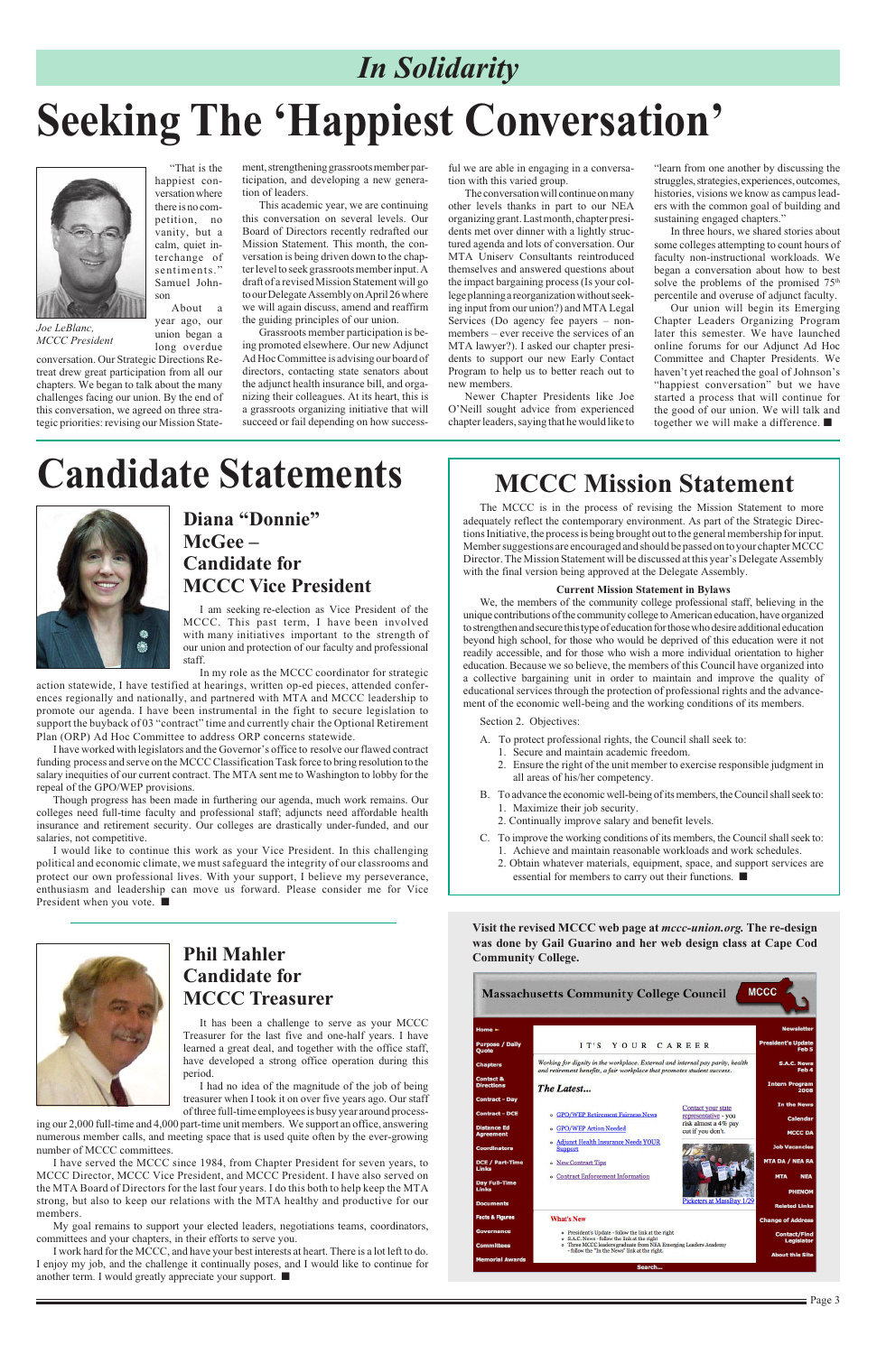Page 3

"That is the happiest conversation where there is no competition, no vanity, but a calm, quiet interchange of sentiments." Samuel Johnson About a

year ago, our union began a long overdue

conversation. Our Strategic Directions Retreat drew great participation from all our chapters. We began to talk about the many challenges facing our union. By the end of this conversation, we agreed on three strategic priorities: revising our Mission Statement, strengthening grassroots member participation, and developing a new generation of leaders.

This academic year, we are continuing this conversation on several levels. Our Board of Directors recently redrafted our Mission Statement. This month, the conversation is being driven down to the chapter level to seek grassroots member input. A draft of a revised Mission Statement will go to our Delegate Assembly on April 26 where we will again discuss, amend and reaffirm the guiding principles of our union.

Grassroots member participation is being promoted elsewhere. Our new Adjunct Ad Hoc Committee is advising our board of directors, contacting state senators about the adjunct health insurance bill, and organizing their colleagues. At its heart, this is a grassroots organizing initiative that will succeed or fail depending on how successful we are able in engaging in a conversation with this varied group.

The conversation will continue on many other levels thanks in part to our NEA organizing grant. Last month, chapter presidents met over dinner with a lightly structured agenda and lots of conversation. Our MTA Uniserv Consultants reintroduced themselves and answered questions about the impact bargaining process (Is your college planning a reorganization without seeking input from our union?) and MTA Legal Services (Do agency fee payers – nonmembers – ever receive the services of an MTA lawyer?). I asked our chapter presidents to support our new Early Contact Program to help us to better reach out to new members.

Newer Chapter Presidents like Joe O'Neill sought advice from experienced chapter leaders, saying that he would like to

"learn from one another by discussing the struggles, strategies, experiences, outcomes, histories, visions we know as campus leaders with the common goal of building and sustaining engaged chapters."

In three hours, we shared stories about some colleges attempting to count hours of faculty non-instructional workloads. We began a conversation about how to best solve the problems of the promised  $75<sup>th</sup>$ percentile and overuse of adjunct faculty.

Our union will begin its Emerging Chapter Leaders Organizing Program later this semester. We have launched online forums for our Adjunct Ad Hoc Committee and Chapter Presidents. We haven't yet reached the goal of Johnson's "happiest conversation" but we have started a process that will continue for the good of our union. We will talk and together we will make a difference. ■

## *In Solidarity*

*Joe LeBlanc, MCCC President*

# **Seeking The 'Happiest Conversation'**



### **Diana "Donnie" McGee – Candidate for MCCC Vice President**

## **Candidate Statements**



It has been a challenge to serve as your MCCC Treasurer for the last five and one-half years. I have learned a great deal, and together with the office staff, have developed a strong office operation during this period.

I had no idea of the magnitude of the job of being treasurer when I took it on over five years ago. Our staff of three full-time employees is busy year around process-

ing our 2,000 full-time and 4,000 part-time unit members. We support an office, answering numerous member calls, and meeting space that is used quite often by the ever-growing number of MCCC committees.

I have served the MCCC since 1984, from Chapter President for seven years, to MCCC Director, MCCC Vice President, and MCCC President. I have also served on the MTA Board of Directors for the last four years. I do this both to help keep the MTA strong, but also to keep our relations with the MTA healthy and productive for our members.

My goal remains to support your elected leaders, negotiations teams, coordinators, committees and your chapters, in their efforts to serve you.

I work hard for the MCCC, and have your best interests at heart. There is a lot left to do. I enjoy my job, and the challenge it continually poses, and I would like to continue for another term. I would greatly appreciate your support. ■

| Home $\blacktriangleright$                                                                                                                                                    | <b>Newsletter</b>                             |
|-------------------------------------------------------------------------------------------------------------------------------------------------------------------------------|-----------------------------------------------|
| <b>Purpose / Daily</b><br>IT'S YOUR CAREER<br>Quote                                                                                                                           | <b>President's Update</b><br>Feb <sub>5</sub> |
| Working for dignity in the workplace. External and internal pay parity, health<br><b>Chapters</b><br>and retirement benefits, a fair workplace that promotes student success. | <b>S.A.C. News</b><br>Feb 4                   |
| <b>Contact &amp;</b><br><b>Directions</b><br>The Latest                                                                                                                       | <b>Intern Program</b><br>2008                 |
| <b>Contract - Day</b>                                                                                                                                                         | <b>In the News</b>                            |
| <b>Contact your state</b><br><b>Contract - DCE</b><br><b>• GPO/WEP Retirement Fairness News</b><br>representative - you                                                       | <b>Calendar</b>                               |
| risk almost a 4% pay<br><b>Distance Ed</b><br><b>• GPO/WEP Action Needed</b><br>cut if you don't.<br>Aareement                                                                | <b>MCCC DA</b>                                |
| o Adjunct Health Insurance Needs YOUR<br><b>Coordinators</b><br><b>Support</b>                                                                                                | <b>Job Vacancies</b>                          |
| <b>DCE / Part-Time</b><br>o New Contract Tips<br>Links                                                                                                                        | <b>MTA DA / NEA RA</b>                        |
| <b>• Contract Enforcement Information</b><br>Dav Full-Time<br>Links                                                                                                           | <b>MTA</b><br><b>NEA</b><br><b>PHENOM</b>     |
| Picketers at MassBay 1/29<br>Documents                                                                                                                                        | <b>Related Links</b>                          |
| Facts & Figures<br><b>What's New</b>                                                                                                                                          | <b>Change of Address</b>                      |
| Governance<br>o President's Update - follow the link at the right<br>o S.A.C. News - follow the link at the right                                                             | <b>Contact/Find</b><br><b>Legislator</b>      |
| o Three MCCC leaders graduate from NEA Emerging Leaders Academy<br><b>Committees</b><br>- follow the "In the News" link at the right.                                         |                                               |
| <b>Memorial Awards</b>                                                                                                                                                        | <b>About this Site</b>                        |
| Search                                                                                                                                                                        |                                               |

I am seeking re-election as Vice President of the MCCC. This past term, I have been involved with many initiatives important to the strength of our union and protection of our faculty and professional staff.

In my role as the MCCC coordinator for strategic

action statewide, I have testified at hearings, written op-ed pieces, attended conferences regionally and nationally, and partnered with MTA and MCCC leadership to promote our agenda. I have been instrumental in the fight to secure legislation to support the buyback of 03 "contract" time and currently chair the Optional Retirement Plan (ORP) Ad Hoc Committee to address ORP concerns statewide.

I have worked with legislators and the Governor's office to resolve our flawed contract funding process and serve on the MCCC Classification Task force to bring resolution to the salary inequities of our current contract. The MTA sent me to Washington to lobby for the repeal of the GPO/WEP provisions.

Though progress has been made in furthering our agenda, much work remains. Our colleges need full-time faculty and professional staff; adjuncts need affordable health insurance and retirement security. Our colleges are drastically under-funded, and our salaries, not competitive.

I would like to continue this work as your Vice President. In this challenging political and economic climate, we must safeguard the integrity of our classrooms and protect our own professional lives. With your support, I believe my perseverance, enthusiasm and leadership can move us forward. Please consider me for Vice President when you vote. ■

### **Phil Mahler Candidate for**

Massachusetts Community College Council MCCC



#### **MCCC Treasurer**

The MCCC is in the process of revising the Mission Statement to more adequately reflect the contemporary environment. As part of the Strategic Directions Initiative, the process is being brought out to the general membership for input. Member suggestions are encouraged and should be passed on to your chapter MCCC Director. The Mission Statement will be discussed at this year's Delegate Assembly with the final version being approved at the Delegate Assembly.

#### **Current Mission Statement in Bylaws**

We, the members of the community college professional staff, believing in the unique contributions of the community college to American education, have organized to strengthen and secure this type of education for those who desire additional education beyond high school, for those who would be deprived of this education were it not readily accessible, and for those who wish a more individual orientation to higher education. Because we so believe, the members of this Council have organized into a collective bargaining unit in order to maintain and improve the quality of educational services through the protection of professional rights and the advancement of the economic well-being and the working conditions of its members.

Section 2. Objectives:

- A. To protect professional rights, the Council shall seek to:
	- 1. Secure and maintain academic freedom.
	- 2. Ensure the right of the unit member to exercise responsible judgment in all areas of his/her competency.
- B. To advance the economic well-being of its members, the Council shall seek to: 1. Maximize their job security.
	- 2. Continually improve salary and benefit levels.
- C. To improve the working conditions of its members, the Council shall seek to: 1. Achieve and maintain reasonable workloads and work schedules.
	- 2. Obtain whatever materials, equipment, space, and support services are essential for members to carry out their functions. ■

### **MCCC Mission Statement**

**Visit the revised MCCC web page at** *mccc-union.org.* **The re-design was done by Gail Guarino and her web design class at Cape Cod Community College.**